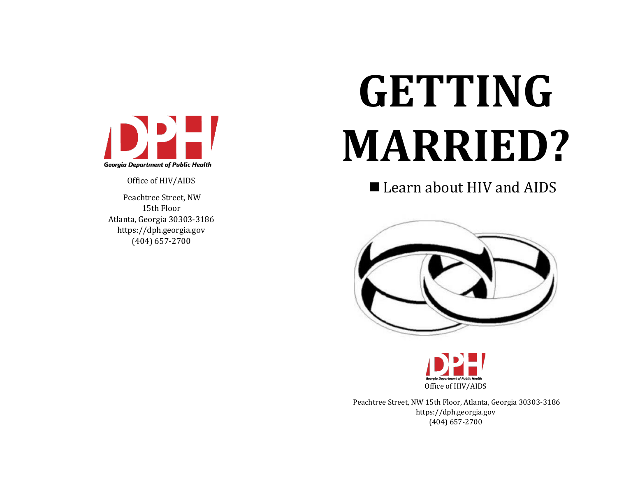

Office of HIV/AIDS

Peachtree Street, NW 15th Floor Atlanta, Georgia 30303-3186 https://dph.georgia.gov (404) 657-2700

# **GETTING MARRIED?**

■ Learn about HIV and AIDS





Peachtree Street, NW 15th Floor, Atlanta, Georgia 30303-3186 https://dph.georgia.gov (404) 657-2700